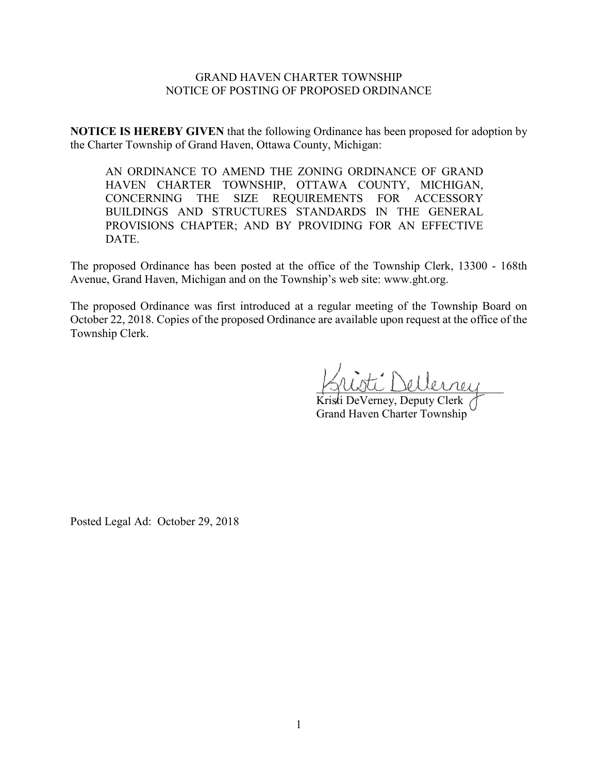## GRAND HAVEN CHARTER TOWNSHIP NOTICE OF POSTING OF PROPOSED ORDINANCE

**NOTICE IS HEREBY GIVEN** that the following Ordinance has been proposed for adoption by the Charter Township of Grand Haven, Ottawa County, Michigan:

AN ORDINANCE TO AMEND THE ZONING ORDINANCE OF GRAND HAVEN CHARTER TOWNSHIP, OTTAWA COUNTY, MICHIGAN, CONCERNING THE SIZE REQUIREMENTS FOR ACCESSORY BUILDINGS AND STRUCTURES STANDARDS IN THE GENERAL PROVISIONS CHAPTER; AND BY PROVIDING FOR AN EFFECTIVE DATE.

The proposed Ordinance has been posted at the office of the Township Clerk, 13300 - 168th Avenue, Grand Haven, Michigan and on the Township's web site: www.ght.org.

The proposed Ordinance was first introduced at a regular meeting of the Township Board on October 22, 2018. Copies of the proposed Ordinance are available upon request at the office of the Township Clerk.

 $I:\n$ ellerney

Kristi DeVerney, Deputy Clerk Grand Haven Charter Township

Posted Legal Ad: October 29, 2018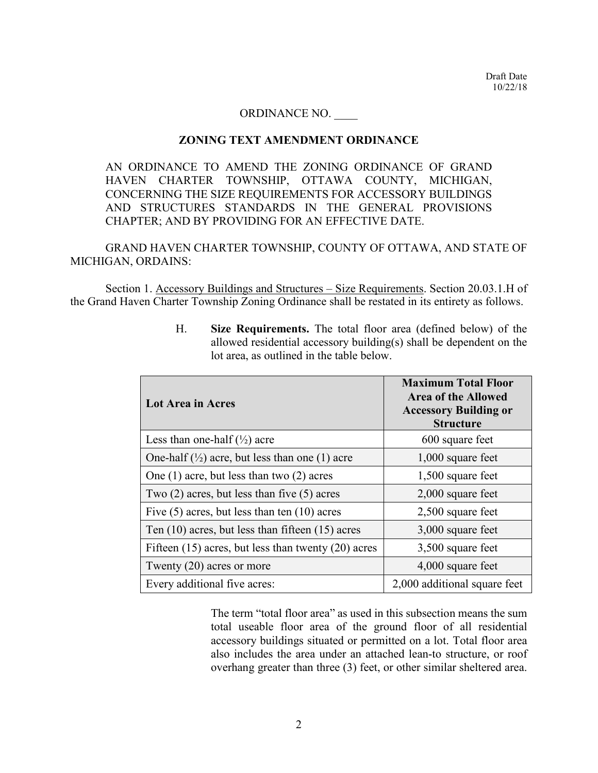## ORDINANCE NO. \_\_\_\_

## **ZONING TEXT AMENDMENT ORDINANCE**

AN ORDINANCE TO AMEND THE ZONING ORDINANCE OF GRAND HAVEN CHARTER TOWNSHIP, OTTAWA COUNTY, MICHIGAN, CONCERNING THE SIZE REQUIREMENTS FOR ACCESSORY BUILDINGS AND STRUCTURES STANDARDS IN THE GENERAL PROVISIONS CHAPTER; AND BY PROVIDING FOR AN EFFECTIVE DATE.

GRAND HAVEN CHARTER TOWNSHIP, COUNTY OF OTTAWA, AND STATE OF MICHIGAN, ORDAINS:

Section 1. Accessory Buildings and Structures – Size Requirements. Section 20.03.1.H of the Grand Haven Charter Township Zoning Ordinance shall be restated in its entirety as follows.

| <b>Lot Area in Acres</b>                                             | <b>Maximum Total Floor</b><br><b>Area of the Allowed</b><br><b>Accessory Building or</b><br><b>Structure</b> |
|----------------------------------------------------------------------|--------------------------------------------------------------------------------------------------------------|
| Less than one-half $(\frac{1}{2})$ acre                              | 600 square feet                                                                                              |
| One-half $\left(\frac{1}{2}\right)$ acre, but less than one (1) acre | $1,000$ square feet                                                                                          |
| One $(1)$ acre, but less than two $(2)$ acres                        | 1,500 square feet                                                                                            |
| Two $(2)$ acres, but less than five $(5)$ acres                      | $2,000$ square feet                                                                                          |
| Five $(5)$ acres, but less than ten $(10)$ acres                     | 2,500 square feet                                                                                            |
| Ten $(10)$ acres, but less than fifteen $(15)$ acres                 | 3,000 square feet                                                                                            |
| Fifteen $(15)$ acres, but less than twenty $(20)$ acres              | 3,500 square feet                                                                                            |
| Twenty $(20)$ acres or more                                          | 4,000 square feet                                                                                            |
| Every additional five acres:                                         | 2,000 additional square feet                                                                                 |

H. **Size Requirements.** The total floor area (defined below) of the allowed residential accessory building(s) shall be dependent on the lot area, as outlined in the table below.

The term "total floor area" as used in this subsection means the sum total useable floor area of the ground floor of all residential accessory buildings situated or permitted on a lot. Total floor area also includes the area under an attached lean-to structure, or roof overhang greater than three (3) feet, or other similar sheltered area.